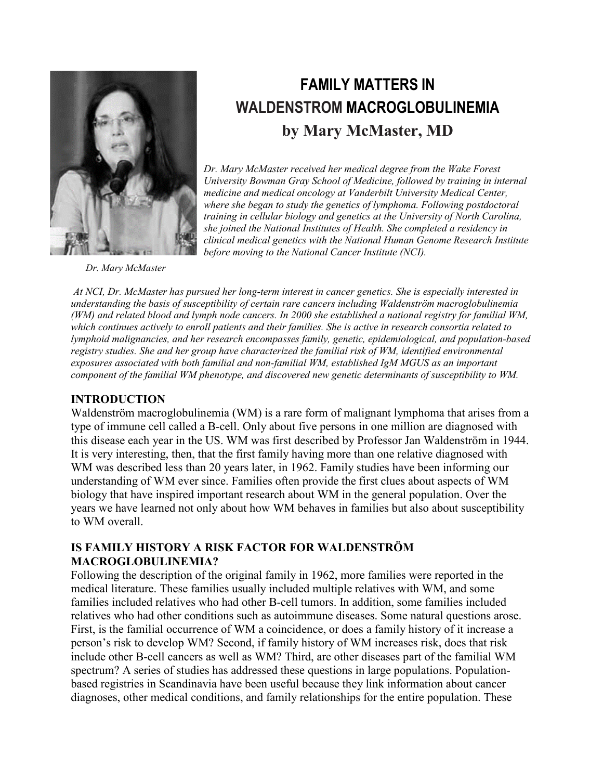

# **FAMILY MATTERS IN WALDENSTROM MACROGLOBULINEMIA by Mary McMaster, MD**

*Dr. Mary McMaster received her medical degree from the Wake Forest University Bowman Gray School of Medicine, followed by training in internal medicine and medical oncology at Vanderbilt University Medical Center, where she began to study the genetics of lymphoma. Following postdoctoral training in cellular biology and genetics at the University of North Carolina, she joined the National Institutes of Health. She completed a residency in clinical medical genetics with the National Human Genome Research Institute before moving to the National Cancer Institute (NCI).*

 *Dr. Mary McMaster*

*At NCI, Dr. McMaster has pursued her long-term interest in cancer genetics. She is especially interested in understanding the basis of susceptibility of certain rare cancers including Waldenström macroglobulinemia (WM) and related blood and lymph node cancers. In 2000 she established a national registry for familial WM, which continues actively to enroll patients and their families. She is active in research consortia related to lymphoid malignancies, and her research encompasses family, genetic, epidemiological, and population-based registry studies. She and her group have characterized the familial risk of WM, identified environmental exposures associated with both familial and non-familial WM, established IgM MGUS as an important component of the familial WM phenotype, and discovered new genetic determinants of susceptibility to WM.*

## **INTRODUCTION**

Waldenström macroglobulinemia (WM) is a rare form of malignant lymphoma that arises from a type of immune cell called a B-cell. Only about five persons in one million are diagnosed with this disease each year in the US. WM was first described by Professor Jan Waldenström in 1944. It is very interesting, then, that the first family having more than one relative diagnosed with WM was described less than 20 years later, in 1962. Family studies have been informing our understanding of WM ever since. Families often provide the first clues about aspects of WM biology that have inspired important research about WM in the general population. Over the years we have learned not only about how WM behaves in families but also about susceptibility to WM overall.

## **IS FAMILY HISTORY A RISK FACTOR FOR WALDENSTRÖM MACROGLOBULINEMIA?**

Following the description of the original family in 1962, more families were reported in the medical literature. These families usually included multiple relatives with WM, and some families included relatives who had other B-cell tumors. In addition, some families included relatives who had other conditions such as autoimmune diseases. Some natural questions arose. First, is the familial occurrence of WM a coincidence, or does a family history of it increase a person's risk to develop WM? Second, if family history of WM increases risk, does that risk include other B-cell cancers as well as WM? Third, are other diseases part of the familial WM spectrum? A series of studies has addressed these questions in large populations. Populationbased registries in Scandinavia have been useful because they link information about cancer diagnoses, other medical conditions, and family relationships for the entire population. These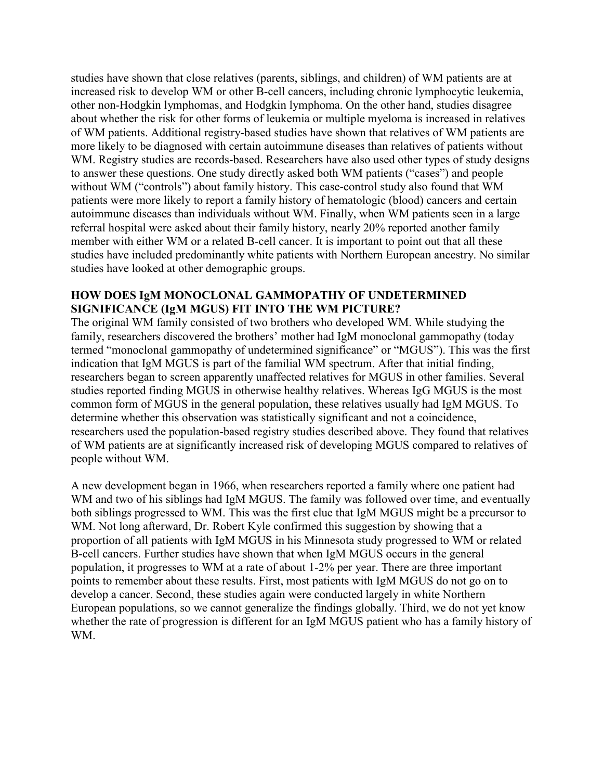studies have shown that close relatives (parents, siblings, and children) of WM patients are at increased risk to develop WM or other B-cell cancers, including chronic lymphocytic leukemia, other non-Hodgkin lymphomas, and Hodgkin lymphoma. On the other hand, studies disagree about whether the risk for other forms of leukemia or multiple myeloma is increased in relatives of WM patients. Additional registry-based studies have shown that relatives of WM patients are more likely to be diagnosed with certain autoimmune diseases than relatives of patients without WM. Registry studies are records-based. Researchers have also used other types of study designs to answer these questions. One study directly asked both WM patients ("cases") and people without WM ("controls") about family history. This case-control study also found that WM patients were more likely to report a family history of hematologic (blood) cancers and certain autoimmune diseases than individuals without WM. Finally, when WM patients seen in a large referral hospital were asked about their family history, nearly 20% reported another family member with either WM or a related B-cell cancer. It is important to point out that all these studies have included predominantly white patients with Northern European ancestry. No similar studies have looked at other demographic groups.

## **HOW DOES IgM MONOCLONAL GAMMOPATHY OF UNDETERMINED SIGNIFICANCE (IgM MGUS) FIT INTO THE WM PICTURE?**

The original WM family consisted of two brothers who developed WM. While studying the family, researchers discovered the brothers' mother had IgM monoclonal gammopathy (today termed "monoclonal gammopathy of undetermined significance" or "MGUS"). This was the first indication that IgM MGUS is part of the familial WM spectrum. After that initial finding, researchers began to screen apparently unaffected relatives for MGUS in other families. Several studies reported finding MGUS in otherwise healthy relatives. Whereas IgG MGUS is the most common form of MGUS in the general population, these relatives usually had IgM MGUS. To determine whether this observation was statistically significant and not a coincidence, researchers used the population-based registry studies described above. They found that relatives of WM patients are at significantly increased risk of developing MGUS compared to relatives of people without WM.

A new development began in 1966, when researchers reported a family where one patient had WM and two of his siblings had IgM MGUS. The family was followed over time, and eventually both siblings progressed to WM. This was the first clue that IgM MGUS might be a precursor to WM. Not long afterward, Dr. Robert Kyle confirmed this suggestion by showing that a proportion of all patients with IgM MGUS in his Minnesota study progressed to WM or related B-cell cancers. Further studies have shown that when IgM MGUS occurs in the general population, it progresses to WM at a rate of about 1-2% per year. There are three important points to remember about these results. First, most patients with IgM MGUS do not go on to develop a cancer. Second, these studies again were conducted largely in white Northern European populations, so we cannot generalize the findings globally. Third, we do not yet know whether the rate of progression is different for an IgM MGUS patient who has a family history of WM.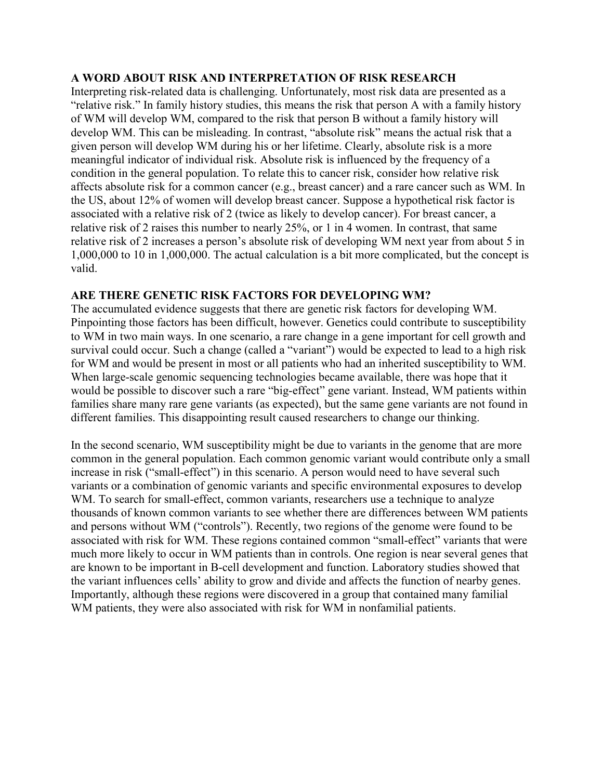## **A WORD ABOUT RISK AND INTERPRETATION OF RISK RESEARCH**

Interpreting risk-related data is challenging. Unfortunately, most risk data are presented as a "relative risk." In family history studies, this means the risk that person A with a family history of WM will develop WM, compared to the risk that person B without a family history will develop WM. This can be misleading. In contrast, "absolute risk" means the actual risk that a given person will develop WM during his or her lifetime. Clearly, absolute risk is a more meaningful indicator of individual risk. Absolute risk is influenced by the frequency of a condition in the general population. To relate this to cancer risk, consider how relative risk affects absolute risk for a common cancer (e.g., breast cancer) and a rare cancer such as WM. In the US, about 12% of women will develop breast cancer. Suppose a hypothetical risk factor is associated with a relative risk of 2 (twice as likely to develop cancer). For breast cancer, a relative risk of 2 raises this number to nearly 25%, or 1 in 4 women. In contrast, that same relative risk of 2 increases a person's absolute risk of developing WM next year from about 5 in 1,000,000 to 10 in 1,000,000. The actual calculation is a bit more complicated, but the concept is valid.

## **ARE THERE GENETIC RISK FACTORS FOR DEVELOPING WM?**

The accumulated evidence suggests that there are genetic risk factors for developing WM. Pinpointing those factors has been difficult, however. Genetics could contribute to susceptibility to WM in two main ways. In one scenario, a rare change in a gene important for cell growth and survival could occur. Such a change (called a "variant") would be expected to lead to a high risk for WM and would be present in most or all patients who had an inherited susceptibility to WM. When large-scale genomic sequencing technologies became available, there was hope that it would be possible to discover such a rare "big-effect" gene variant. Instead, WM patients within families share many rare gene variants (as expected), but the same gene variants are not found in different families. This disappointing result caused researchers to change our thinking.

In the second scenario, WM susceptibility might be due to variants in the genome that are more common in the general population. Each common genomic variant would contribute only a small increase in risk ("small-effect") in this scenario. A person would need to have several such variants or a combination of genomic variants and specific environmental exposures to develop WM. To search for small-effect, common variants, researchers use a technique to analyze thousands of known common variants to see whether there are differences between WM patients and persons without WM ("controls"). Recently, two regions of the genome were found to be associated with risk for WM. These regions contained common "small-effect" variants that were much more likely to occur in WM patients than in controls. One region is near several genes that are known to be important in B-cell development and function. Laboratory studies showed that the variant influences cells' ability to grow and divide and affects the function of nearby genes. Importantly, although these regions were discovered in a group that contained many familial WM patients, they were also associated with risk for WM in nonfamilial patients.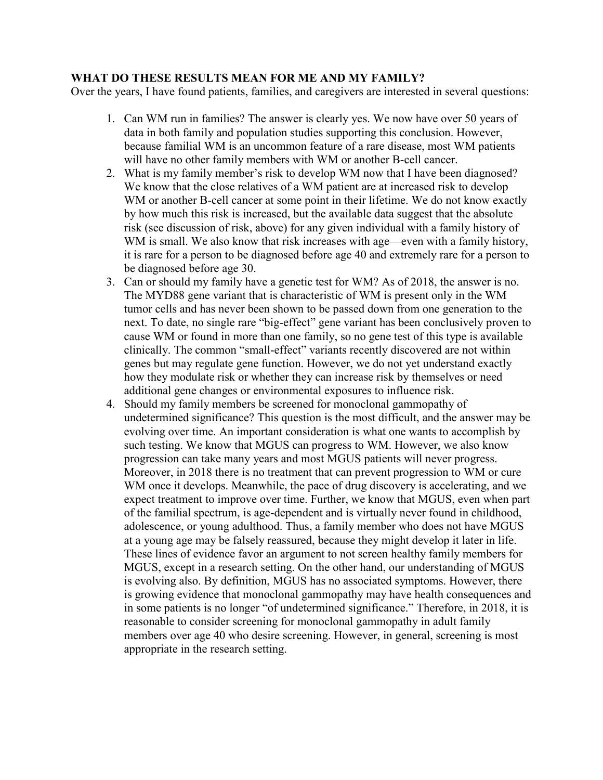## **WHAT DO THESE RESULTS MEAN FOR ME AND MY FAMILY?**

Over the years, I have found patients, families, and caregivers are interested in several questions:

- 1. Can WM run in families? The answer is clearly yes. We now have over 50 years of data in both family and population studies supporting this conclusion. However, because familial WM is an uncommon feature of a rare disease, most WM patients will have no other family members with WM or another B-cell cancer.
- 2. What is my family member's risk to develop WM now that I have been diagnosed? We know that the close relatives of a WM patient are at increased risk to develop WM or another B-cell cancer at some point in their lifetime. We do not know exactly by how much this risk is increased, but the available data suggest that the absolute risk (see discussion of risk, above) for any given individual with a family history of WM is small. We also know that risk increases with age—even with a family history, it is rare for a person to be diagnosed before age 40 and extremely rare for a person to be diagnosed before age 30.
- 3. Can or should my family have a genetic test for WM? As of 2018, the answer is no. The MYD88 gene variant that is characteristic of WM is present only in the WM tumor cells and has never been shown to be passed down from one generation to the next. To date, no single rare "big-effect" gene variant has been conclusively proven to cause WM or found in more than one family, so no gene test of this type is available clinically. The common "small-effect" variants recently discovered are not within genes but may regulate gene function. However, we do not yet understand exactly how they modulate risk or whether they can increase risk by themselves or need additional gene changes or environmental exposures to influence risk.
- 4. Should my family members be screened for monoclonal gammopathy of undetermined significance? This question is the most difficult, and the answer may be evolving over time. An important consideration is what one wants to accomplish by such testing. We know that MGUS can progress to WM. However, we also know progression can take many years and most MGUS patients will never progress. Moreover, in 2018 there is no treatment that can prevent progression to WM or cure WM once it develops. Meanwhile, the pace of drug discovery is accelerating, and we expect treatment to improve over time. Further, we know that MGUS, even when part of the familial spectrum, is age-dependent and is virtually never found in childhood, adolescence, or young adulthood. Thus, a family member who does not have MGUS at a young age may be falsely reassured, because they might develop it later in life. These lines of evidence favor an argument to not screen healthy family members for MGUS, except in a research setting. On the other hand, our understanding of MGUS is evolving also. By definition, MGUS has no associated symptoms. However, there is growing evidence that monoclonal gammopathy may have health consequences and in some patients is no longer "of undetermined significance." Therefore, in 2018, it is reasonable to consider screening for monoclonal gammopathy in adult family members over age 40 who desire screening. However, in general, screening is most appropriate in the research setting.